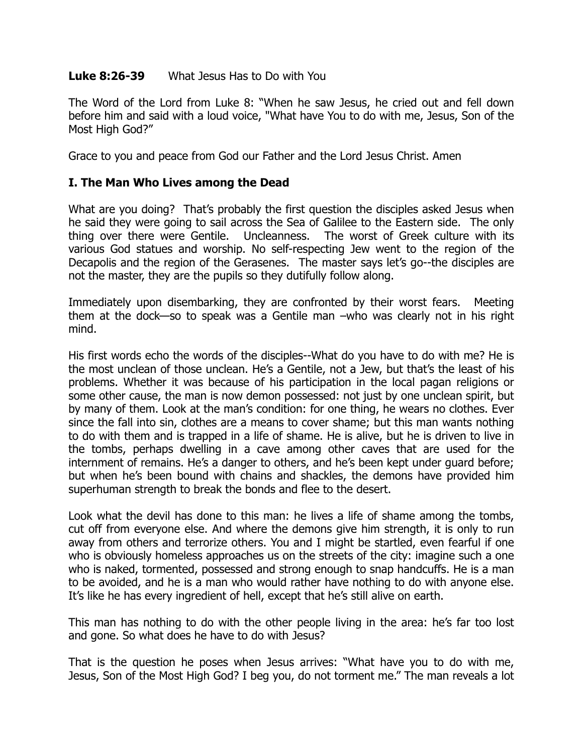## **Luke 8:26-39** What Jesus Has to Do with You

The Word of the Lord from Luke 8: "When he saw Jesus, he cried out and fell down before him and said with a loud voice, "What have You to do with me, Jesus, Son of the Most High God?"

Grace to you and peace from God our Father and the Lord Jesus Christ. Amen

## **I. The Man Who Lives among the Dead**

What are you doing? That's probably the first question the disciples asked Jesus when he said they were going to sail across the Sea of Galilee to the Eastern side. The only thing over there were Gentile. Uncleanness. The worst of Greek culture with its various God statues and worship. No self-respecting Jew went to the region of the Decapolis and the region of the Gerasenes. The master says let's go--the disciples are not the master, they are the pupils so they dutifully follow along.

Immediately upon disembarking, they are confronted by their worst fears. Meeting them at the dock—so to speak was a Gentile man –who was clearly not in his right mind.

His first words echo the words of the disciples--What do you have to do with me? He is the most unclean of those unclean. He's a Gentile, not a Jew, but that's the least of his problems. Whether it was because of his participation in the local pagan religions or some other cause, the man is now demon possessed: not just by one unclean spirit, but by many of them. Look at the man's condition: for one thing, he wears no clothes. Ever since the fall into sin, clothes are a means to cover shame; but this man wants nothing to do with them and is trapped in a life of shame. He is alive, but he is driven to live in the tombs, perhaps dwelling in a cave among other caves that are used for the internment of remains. He's a danger to others, and he's been kept under guard before; but when he's been bound with chains and shackles, the demons have provided him superhuman strength to break the bonds and flee to the desert.

Look what the devil has done to this man: he lives a life of shame among the tombs, cut off from everyone else. And where the demons give him strength, it is only to run away from others and terrorize others. You and I might be startled, even fearful if one who is obviously homeless approaches us on the streets of the city: imagine such a one who is naked, tormented, possessed and strong enough to snap handcuffs. He is a man to be avoided, and he is a man who would rather have nothing to do with anyone else. It's like he has every ingredient of hell, except that he's still alive on earth.

This man has nothing to do with the other people living in the area: he's far too lost and gone. So what does he have to do with Jesus?

That is the question he poses when Jesus arrives: "What have you to do with me, Jesus, Son of the Most High God? I beg you, do not torment me." The man reveals a lot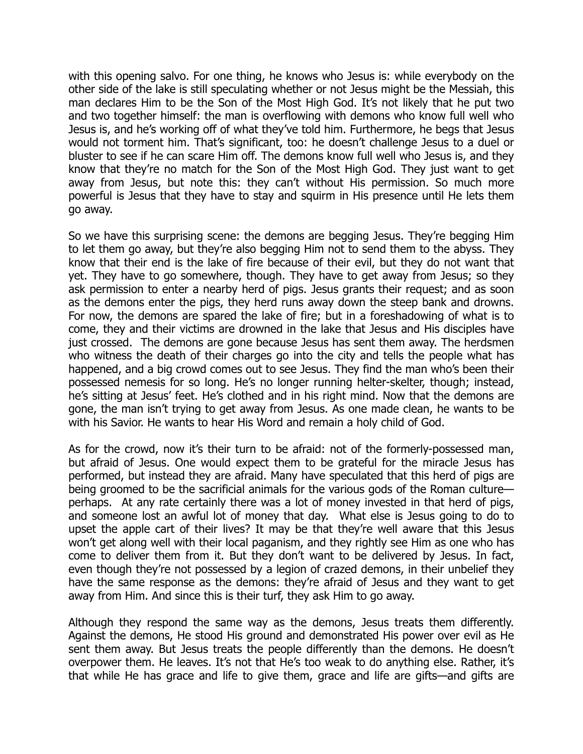with this opening salvo. For one thing, he knows who Jesus is: while everybody on the other side of the lake is still speculating whether or not Jesus might be the Messiah, this man declares Him to be the Son of the Most High God. It's not likely that he put two and two together himself: the man is overflowing with demons who know full well who Jesus is, and he's working off of what they've told him. Furthermore, he begs that Jesus would not torment him. That's significant, too: he doesn't challenge Jesus to a duel or bluster to see if he can scare Him off. The demons know full well who Jesus is, and they know that they're no match for the Son of the Most High God. They just want to get away from Jesus, but note this: they can't without His permission. So much more powerful is Jesus that they have to stay and squirm in His presence until He lets them go away.

So we have this surprising scene: the demons are begging Jesus. They're begging Him to let them go away, but they're also begging Him not to send them to the abyss. They know that their end is the lake of fire because of their evil, but they do not want that yet. They have to go somewhere, though. They have to get away from Jesus; so they ask permission to enter a nearby herd of pigs. Jesus grants their request; and as soon as the demons enter the pigs, they herd runs away down the steep bank and drowns. For now, the demons are spared the lake of fire; but in a foreshadowing of what is to come, they and their victims are drowned in the lake that Jesus and His disciples have just crossed. The demons are gone because Jesus has sent them away. The herdsmen who witness the death of their charges go into the city and tells the people what has happened, and a big crowd comes out to see Jesus. They find the man who's been their possessed nemesis for so long. He's no longer running helter-skelter, though; instead, he's sitting at Jesus' feet. He's clothed and in his right mind. Now that the demons are gone, the man isn't trying to get away from Jesus. As one made clean, he wants to be with his Savior. He wants to hear His Word and remain a holy child of God.

As for the crowd, now it's their turn to be afraid: not of the formerly-possessed man, but afraid of Jesus. One would expect them to be grateful for the miracle Jesus has performed, but instead they are afraid. Many have speculated that this herd of pigs are being groomed to be the sacrificial animals for the various gods of the Roman culture perhaps. At any rate certainly there was a lot of money invested in that herd of pigs, and someone lost an awful lot of money that day. What else is Jesus going to do to upset the apple cart of their lives? It may be that they're well aware that this Jesus won't get along well with their local paganism, and they rightly see Him as one who has come to deliver them from it. But they don't want to be delivered by Jesus. In fact, even though they're not possessed by a legion of crazed demons, in their unbelief they have the same response as the demons: they're afraid of Jesus and they want to get away from Him. And since this is their turf, they ask Him to go away.

Although they respond the same way as the demons, Jesus treats them differently. Against the demons, He stood His ground and demonstrated His power over evil as He sent them away. But Jesus treats the people differently than the demons. He doesn't overpower them. He leaves. It's not that He's too weak to do anything else. Rather, it's that while He has grace and life to give them, grace and life are gifts—and gifts are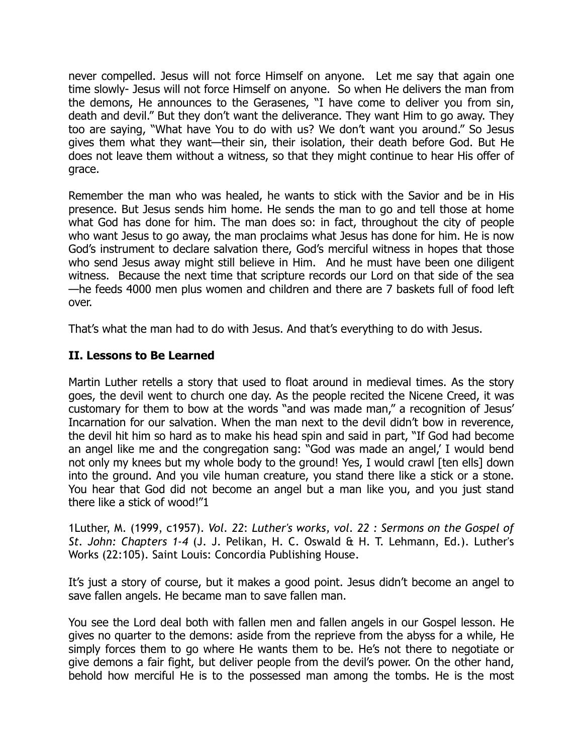never compelled. Jesus will not force Himself on anyone. Let me say that again one time slowly- Jesus will not force Himself on anyone. So when He delivers the man from the demons, He announces to the Gerasenes, "I have come to deliver you from sin, death and devil." But they don't want the deliverance. They want Him to go away. They too are saying, "What have You to do with us? We don't want you around." So Jesus gives them what they want—their sin, their isolation, their death before God. But He does not leave them without a witness, so that they might continue to hear His offer of grace.

Remember the man who was healed, he wants to stick with the Savior and be in His presence. But Jesus sends him home. He sends the man to go and tell those at home what God has done for him. The man does so: in fact, throughout the city of people who want Jesus to go away, the man proclaims what Jesus has done for him. He is now God's instrument to declare salvation there, God's merciful witness in hopes that those who send Jesus away might still believe in Him. And he must have been one diligent witness. Because the next time that scripture records our Lord on that side of the sea —he feeds 4000 men plus women and children and there are 7 baskets full of food left over.

That's what the man had to do with Jesus. And that's everything to do with Jesus.

## **II. Lessons to Be Learned**

Martin Luther retells a story that used to float around in medieval times. As the story goes, the devil went to church one day. As the people recited the Nicene Creed, it was customary for them to bow at the words "and was made man," a recognition of Jesus' Incarnation for our salvation. When the man next to the devil didn't bow in reverence, the devil hit him so hard as to make his head spin and said in part, "If God had become an angel like me and the congregation sang: "God was made an angel,' I would bend not only my knees but my whole body to the ground! Yes, I would crawl [ten ells] down into the ground. And you vile human creature, you stand there like a stick or a stone. You hear that God did not become an angel but a man like you, and you just stand there like a stick of wood!"1

1Luther, M. (1999, c1957). *Vol. 22*: *Luther's works, vol. 22 : Sermons on the Gospel of St. John: Chapters 1-4* (J. J. Pelikan, H. C. Oswald & H. T. Lehmann, Ed.). Luther's Works (22:105). Saint Louis: Concordia Publishing House.

It's just a story of course, but it makes a good point. Jesus didn't become an angel to save fallen angels. He became man to save fallen man.

You see the Lord deal both with fallen men and fallen angels in our Gospel lesson. He gives no quarter to the demons: aside from the reprieve from the abyss for a while, He simply forces them to go where He wants them to be. He's not there to negotiate or give demons a fair fight, but deliver people from the devil's power. On the other hand, behold how merciful He is to the possessed man among the tombs. He is the most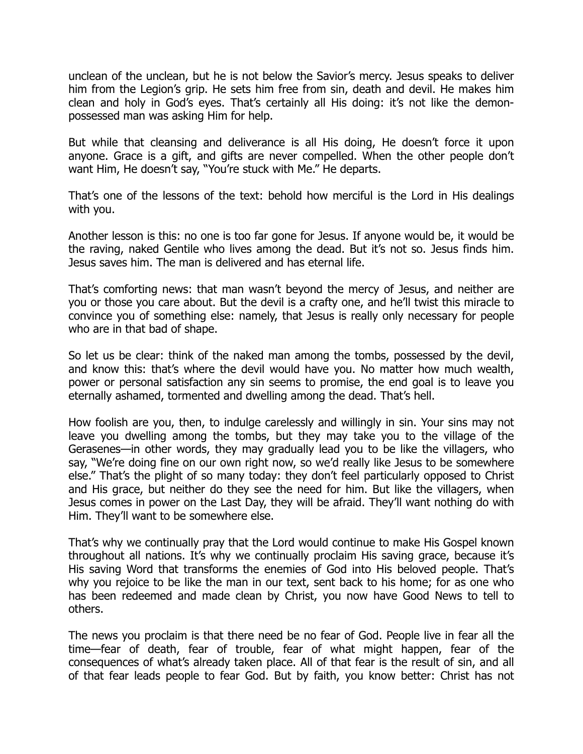unclean of the unclean, but he is not below the Savior's mercy. Jesus speaks to deliver him from the Legion's grip. He sets him free from sin, death and devil. He makes him clean and holy in God's eyes. That's certainly all His doing: it's not like the demonpossessed man was asking Him for help.

But while that cleansing and deliverance is all His doing, He doesn't force it upon anyone. Grace is a gift, and gifts are never compelled. When the other people don't want Him, He doesn't say, "You're stuck with Me." He departs.

That's one of the lessons of the text: behold how merciful is the Lord in His dealings with you.

Another lesson is this: no one is too far gone for Jesus. If anyone would be, it would be the raving, naked Gentile who lives among the dead. But it's not so. Jesus finds him. Jesus saves him. The man is delivered and has eternal life.

That's comforting news: that man wasn't beyond the mercy of Jesus, and neither are you or those you care about. But the devil is a crafty one, and he'll twist this miracle to convince you of something else: namely, that Jesus is really only necessary for people who are in that bad of shape.

So let us be clear: think of the naked man among the tombs, possessed by the devil, and know this: that's where the devil would have you. No matter how much wealth, power or personal satisfaction any sin seems to promise, the end goal is to leave you eternally ashamed, tormented and dwelling among the dead. That's hell.

How foolish are you, then, to indulge carelessly and willingly in sin. Your sins may not leave you dwelling among the tombs, but they may take you to the village of the Gerasenes—in other words, they may gradually lead you to be like the villagers, who say, "We're doing fine on our own right now, so we'd really like Jesus to be somewhere else." That's the plight of so many today: they don't feel particularly opposed to Christ and His grace, but neither do they see the need for him. But like the villagers, when Jesus comes in power on the Last Day, they will be afraid. They'll want nothing do with Him. They'll want to be somewhere else.

That's why we continually pray that the Lord would continue to make His Gospel known throughout all nations. It's why we continually proclaim His saving grace, because it's His saving Word that transforms the enemies of God into His beloved people. That's why you rejoice to be like the man in our text, sent back to his home; for as one who has been redeemed and made clean by Christ, you now have Good News to tell to others.

The news you proclaim is that there need be no fear of God. People live in fear all the time—fear of death, fear of trouble, fear of what might happen, fear of the consequences of what's already taken place. All of that fear is the result of sin, and all of that fear leads people to fear God. But by faith, you know better: Christ has not